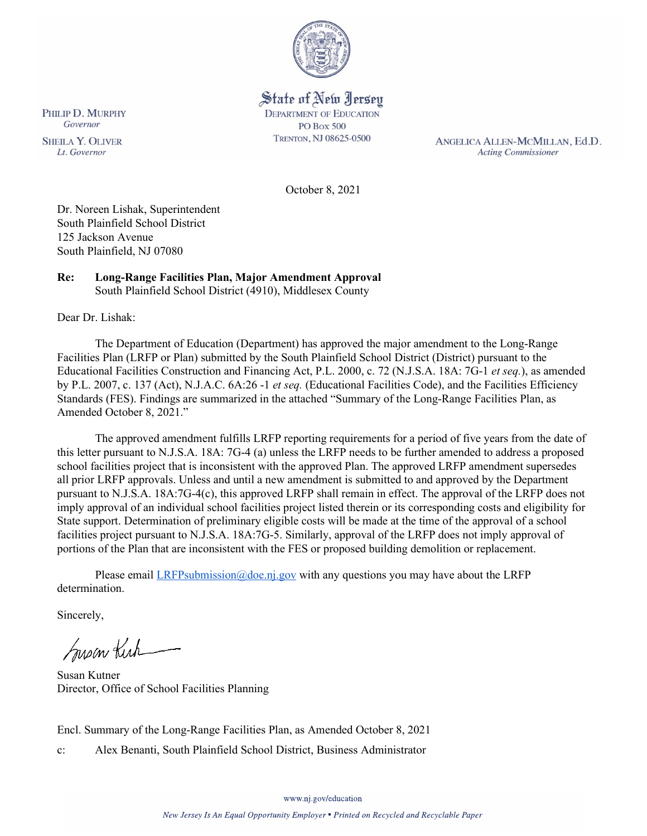

# State of New Jersey **DEPARTMENT OF EDUCATION**

**PO Box 500** TRENTON, NJ 08625-0500

ANGELICA ALLEN-MCMILLAN, Ed.D. **Acting Commissioner** 

October 8, 2021

Dr. Noreen Lishak, Superintendent South Plainfield School District 125 Jackson Avenue South Plainfield, NJ 07080

#### **Re: Long-Range Facilities Plan, Major Amendment Approval**  South Plainfield School District (4910), Middlesex County

Dear Dr. Lishak:

The Department of Education (Department) has approved the major amendment to the Long-Range Facilities Plan (LRFP or Plan) submitted by the South Plainfield School District (District) pursuant to the Educational Facilities Construction and Financing Act, P.L. 2000, c. 72 (N.J.S.A. 18A: 7G-1 *et seq.*), as amended by P.L. 2007, c. 137 (Act), N.J.A.C. 6A:26 -1 *et seq.* (Educational Facilities Code), and the Facilities Efficiency Standards (FES). Findings are summarized in the attached "Summary of the Long-Range Facilities Plan, as Amended October 8, 2021."

The approved amendment fulfills LRFP reporting requirements for a period of five years from the date of this letter pursuant to N.J.S.A. 18A: 7G-4 (a) unless the LRFP needs to be further amended to address a proposed school facilities project that is inconsistent with the approved Plan. The approved LRFP amendment supersedes all prior LRFP approvals. Unless and until a new amendment is submitted to and approved by the Department pursuant to N.J.S.A. 18A:7G-4(c), this approved LRFP shall remain in effect. The approval of the LRFP does not imply approval of an individual school facilities project listed therein or its corresponding costs and eligibility for State support. Determination of preliminary eligible costs will be made at the time of the approval of a school facilities project pursuant to N.J.S.A. 18A:7G-5. Similarly, approval of the LRFP does not imply approval of portions of the Plan that are inconsistent with the FES or proposed building demolition or replacement.

Please email  $LRFP submission@doe.ni.gov$  with any questions you may have about the LRFP determination.

Sincerely,

Susan Kich

Susan Kutner Director, Office of School Facilities Planning

Encl. Summary of the Long-Range Facilities Plan, as Amended October 8, 2021

c: Alex Benanti, South Plainfield School District, Business Administrator

PHILIP D. MURPHY

Governor

**SHEILA Y. OLIVER** 

Lt. Governor

www.nj.gov/education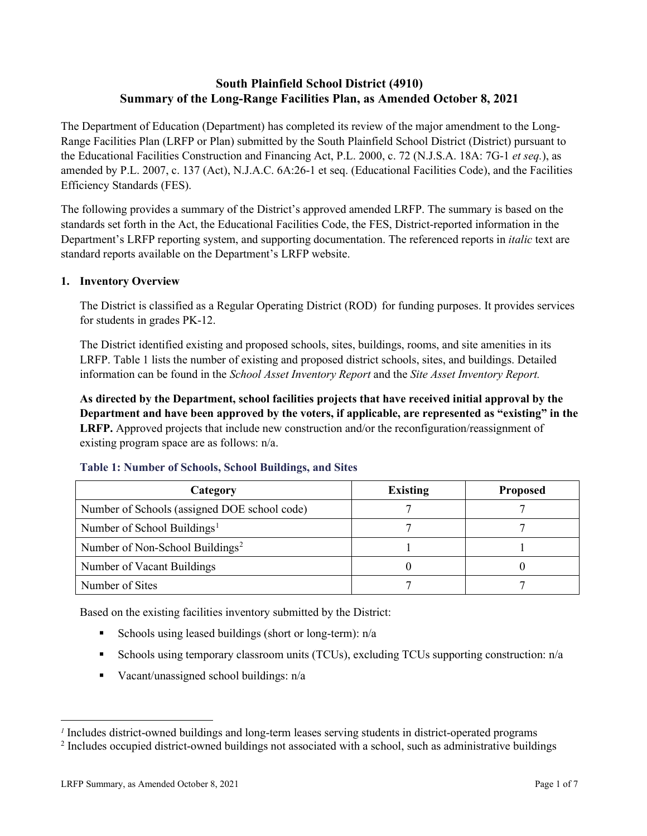## **South Plainfield School District (4910) Summary of the Long-Range Facilities Plan, as Amended October 8, 2021**

The Department of Education (Department) has completed its review of the major amendment to the Long-Range Facilities Plan (LRFP or Plan) submitted by the South Plainfield School District (District) pursuant to the Educational Facilities Construction and Financing Act, P.L. 2000, c. 72 (N.J.S.A. 18A: 7G-1 *et seq.*), as amended by P.L. 2007, c. 137 (Act), N.J.A.C. 6A:26-1 et seq. (Educational Facilities Code), and the Facilities Efficiency Standards (FES).

The following provides a summary of the District's approved amended LRFP. The summary is based on the standards set forth in the Act, the Educational Facilities Code, the FES, District-reported information in the Department's LRFP reporting system, and supporting documentation. The referenced reports in *italic* text are standard reports available on the Department's LRFP website.

## **1. Inventory Overview**

The District is classified as a Regular Operating District (ROD) for funding purposes. It provides services for students in grades PK-12.

The District identified existing and proposed schools, sites, buildings, rooms, and site amenities in its LRFP. Table 1 lists the number of existing and proposed district schools, sites, and buildings. Detailed information can be found in the *School Asset Inventory Report* and the *Site Asset Inventory Report.*

**As directed by the Department, school facilities projects that have received initial approval by the Department and have been approved by the voters, if applicable, are represented as "existing" in the LRFP.** Approved projects that include new construction and/or the reconfiguration/reassignment of existing program space are as follows: n/a.

| Category                                     | <b>Existing</b> | <b>Proposed</b> |
|----------------------------------------------|-----------------|-----------------|
| Number of Schools (assigned DOE school code) |                 |                 |
| Number of School Buildings <sup>1</sup>      |                 |                 |
| Number of Non-School Buildings <sup>2</sup>  |                 |                 |
| Number of Vacant Buildings                   |                 |                 |
| Number of Sites                              |                 |                 |

#### **Table 1: Number of Schools, School Buildings, and Sites**

Based on the existing facilities inventory submitted by the District:

- Schools using leased buildings (short or long-term):  $n/a$
- Schools using temporary classroom units (TCUs), excluding TCUs supporting construction: n/a
- Vacant/unassigned school buildings:  $n/a$

*<sup>1</sup>* Includes district-owned buildings and long-term leases serving students in district-operated programs

<sup>&</sup>lt;sup>2</sup> Includes occupied district-owned buildings not associated with a school, such as administrative buildings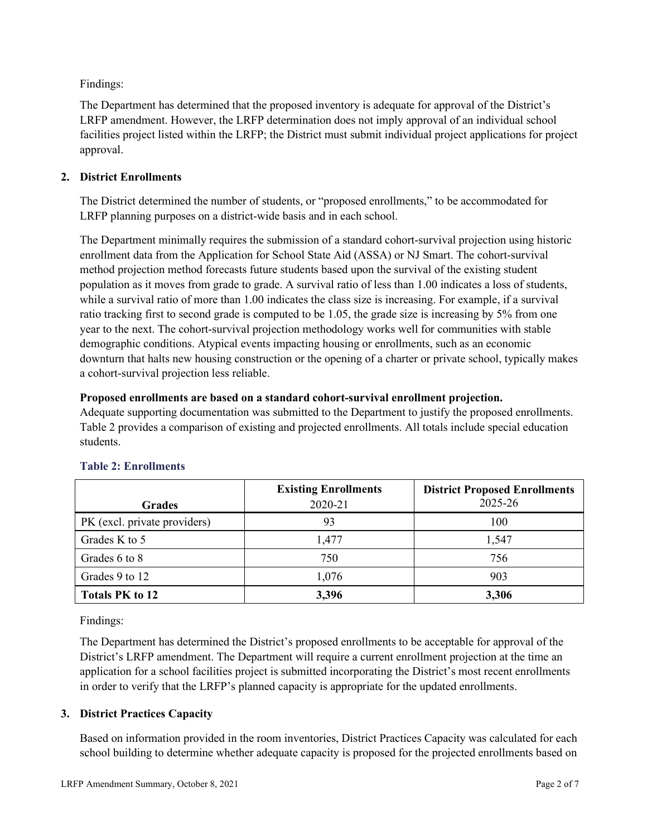Findings:

The Department has determined that the proposed inventory is adequate for approval of the District's LRFP amendment. However, the LRFP determination does not imply approval of an individual school facilities project listed within the LRFP; the District must submit individual project applications for project approval.

## **2. District Enrollments**

The District determined the number of students, or "proposed enrollments," to be accommodated for LRFP planning purposes on a district-wide basis and in each school.

The Department minimally requires the submission of a standard cohort-survival projection using historic enrollment data from the Application for School State Aid (ASSA) or NJ Smart. The cohort-survival method projection method forecasts future students based upon the survival of the existing student population as it moves from grade to grade. A survival ratio of less than 1.00 indicates a loss of students, while a survival ratio of more than 1.00 indicates the class size is increasing. For example, if a survival ratio tracking first to second grade is computed to be 1.05, the grade size is increasing by 5% from one year to the next. The cohort-survival projection methodology works well for communities with stable demographic conditions. Atypical events impacting housing or enrollments, such as an economic downturn that halts new housing construction or the opening of a charter or private school, typically makes a cohort-survival projection less reliable.

#### **Proposed enrollments are based on a standard cohort-survival enrollment projection.**

Adequate supporting documentation was submitted to the Department to justify the proposed enrollments. Table 2 provides a comparison of existing and projected enrollments. All totals include special education students.

|                              | <b>Existing Enrollments</b> | <b>District Proposed Enrollments</b> |
|------------------------------|-----------------------------|--------------------------------------|
| <b>Grades</b>                | 2020-21                     | 2025-26                              |
| PK (excl. private providers) | 93                          | 100                                  |
| Grades K to 5                | 1,477                       | 1,547                                |
| Grades 6 to 8                | 750                         | 756                                  |
| Grades 9 to 12               | 1,076                       | 903                                  |
| <b>Totals PK to 12</b>       | 3,396                       | 3,306                                |

## **Table 2: Enrollments**

Findings:

The Department has determined the District's proposed enrollments to be acceptable for approval of the District's LRFP amendment. The Department will require a current enrollment projection at the time an application for a school facilities project is submitted incorporating the District's most recent enrollments in order to verify that the LRFP's planned capacity is appropriate for the updated enrollments.

## **3. District Practices Capacity**

Based on information provided in the room inventories, District Practices Capacity was calculated for each school building to determine whether adequate capacity is proposed for the projected enrollments based on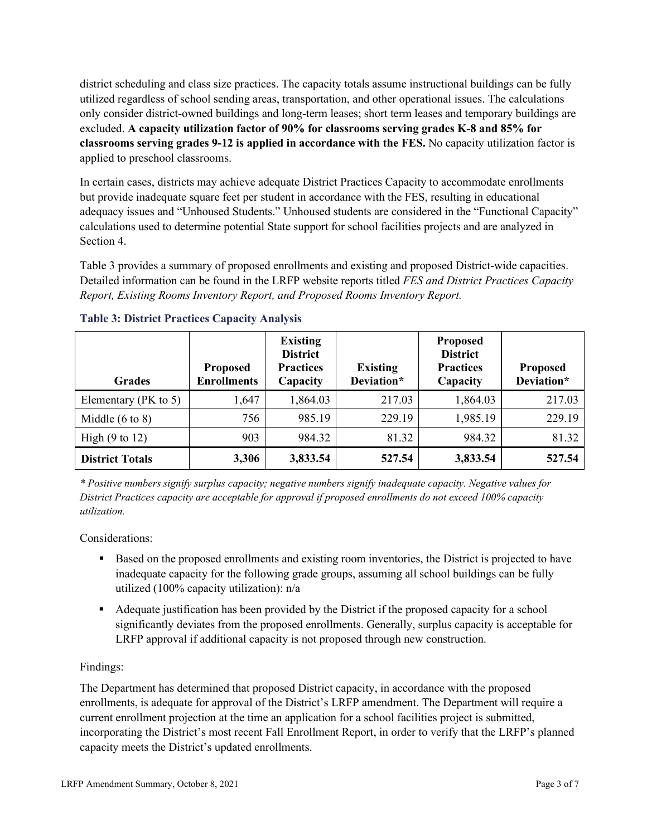district scheduling and class size practices. The capacity totals assume instructional buildings can be fully utilized regardless of school sending areas, transportation, and other operational issues. The calculations only consider district-owned buildings and long-term leases; short term leases and temporary buildings are excluded. **A capacity utilization factor of 90% for classrooms serving grades K-8 and 85% for classrooms serving grades 9-12 is applied in accordance with the FES.** No capacity utilization factor is applied to preschool classrooms.

In certain cases, districts may achieve adequate District Practices Capacity to accommodate enrollments but provide inadequate square feet per student in accordance with the FES, resulting in educational adequacy issues and "Unhoused Students." Unhoused students are considered in the "Functional Capacity" calculations used to determine potential State support for school facilities projects and are analyzed in Section 4.

Table 3 provides a summary of proposed enrollments and existing and proposed District-wide capacities. Detailed information can be found in the LRFP website reports titled *FES and District Practices Capacity Report, Existing Rooms Inventory Report, and Proposed Rooms Inventory Report.*

| <b>Grades</b>              | <b>Proposed</b><br><b>Enrollments</b> | <b>Existing</b><br><b>District</b><br><b>Practices</b><br>Capacity | <b>Existing</b><br>Deviation* | <b>Proposed</b><br><b>District</b><br><b>Practices</b><br>Capacity | <b>Proposed</b><br>Deviation* |
|----------------------------|---------------------------------------|--------------------------------------------------------------------|-------------------------------|--------------------------------------------------------------------|-------------------------------|
| Elementary ( $PK$ to 5)    | 1,647                                 | 1,864.03                                                           | 217.03                        | 1,864.03                                                           | 217.03                        |
| Middle $(6 \text{ to } 8)$ | 756                                   | 985.19                                                             | 229.19                        | 1,985.19                                                           | 229.19                        |
| High $(9 \text{ to } 12)$  | 903                                   | 984.32                                                             | 81.32                         | 984.32                                                             | 81.32                         |
| <b>District Totals</b>     | 3,306                                 | 3,833.54                                                           | 527.54                        | 3,833.54                                                           | 527.54                        |

## **Table 3: District Practices Capacity Analysis**

*\* Positive numbers signify surplus capacity; negative numbers signify inadequate capacity. Negative values for District Practices capacity are acceptable for approval if proposed enrollments do not exceed 100% capacity utilization.*

Considerations:

- Based on the proposed enrollments and existing room inventories, the District is projected to have inadequate capacity for the following grade groups, assuming all school buildings can be fully utilized (100% capacity utilization): n/a
- Adequate justification has been provided by the District if the proposed capacity for a school significantly deviates from the proposed enrollments. Generally, surplus capacity is acceptable for LRFP approval if additional capacity is not proposed through new construction.

## Findings:

The Department has determined that proposed District capacity, in accordance with the proposed enrollments, is adequate for approval of the District's LRFP amendment. The Department will require a current enrollment projection at the time an application for a school facilities project is submitted, incorporating the District's most recent Fall Enrollment Report, in order to verify that the LRFP's planned capacity meets the District's updated enrollments.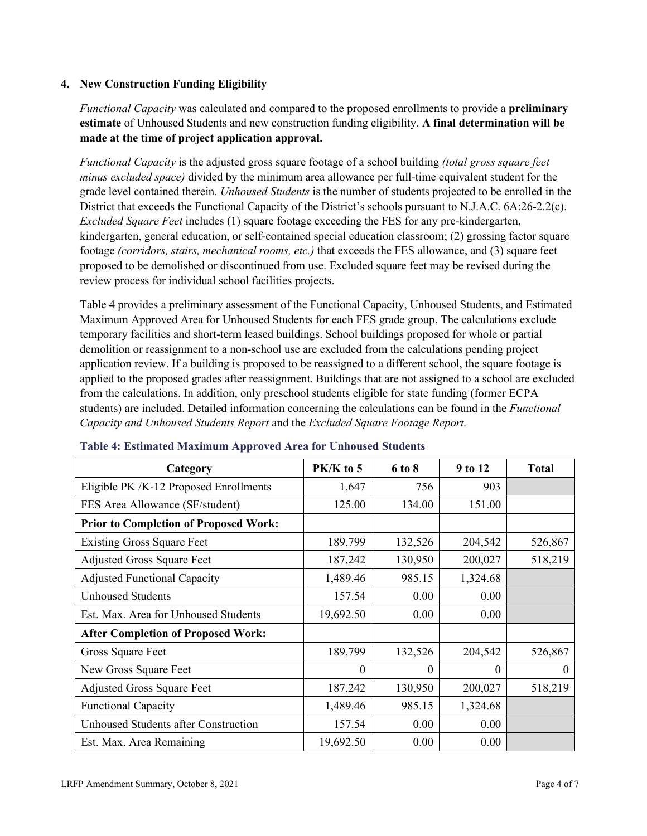#### **4. New Construction Funding Eligibility**

*Functional Capacity* was calculated and compared to the proposed enrollments to provide a **preliminary estimate** of Unhoused Students and new construction funding eligibility. **A final determination will be made at the time of project application approval.**

*Functional Capacity* is the adjusted gross square footage of a school building *(total gross square feet minus excluded space)* divided by the minimum area allowance per full-time equivalent student for the grade level contained therein. *Unhoused Students* is the number of students projected to be enrolled in the District that exceeds the Functional Capacity of the District's schools pursuant to N.J.A.C. 6A:26-2.2(c). *Excluded Square Feet* includes (1) square footage exceeding the FES for any pre-kindergarten, kindergarten, general education, or self-contained special education classroom; (2) grossing factor square footage *(corridors, stairs, mechanical rooms, etc.)* that exceeds the FES allowance, and (3) square feet proposed to be demolished or discontinued from use. Excluded square feet may be revised during the review process for individual school facilities projects.

Table 4 provides a preliminary assessment of the Functional Capacity, Unhoused Students, and Estimated Maximum Approved Area for Unhoused Students for each FES grade group. The calculations exclude temporary facilities and short-term leased buildings. School buildings proposed for whole or partial demolition or reassignment to a non-school use are excluded from the calculations pending project application review. If a building is proposed to be reassigned to a different school, the square footage is applied to the proposed grades after reassignment. Buildings that are not assigned to a school are excluded from the calculations. In addition, only preschool students eligible for state funding (former ECPA students) are included. Detailed information concerning the calculations can be found in the *Functional Capacity and Unhoused Students Report* and the *Excluded Square Footage Report.*

| Category                                     | $PK/K$ to 5 | 6 to 8  | 9 to 12  | <b>Total</b> |
|----------------------------------------------|-------------|---------|----------|--------------|
| Eligible PK /K-12 Proposed Enrollments       | 1,647       | 756     | 903      |              |
| FES Area Allowance (SF/student)              | 125.00      | 134.00  | 151.00   |              |
| <b>Prior to Completion of Proposed Work:</b> |             |         |          |              |
| <b>Existing Gross Square Feet</b>            | 189,799     | 132,526 | 204,542  | 526,867      |
| <b>Adjusted Gross Square Feet</b>            | 187,242     | 130,950 | 200,027  | 518,219      |
| <b>Adjusted Functional Capacity</b>          | 1,489.46    | 985.15  | 1,324.68 |              |
| <b>Unhoused Students</b>                     | 157.54      | 0.00    | 0.00     |              |
| Est. Max. Area for Unhoused Students         | 19,692.50   | 0.00    | 0.00     |              |
| <b>After Completion of Proposed Work:</b>    |             |         |          |              |
| Gross Square Feet                            | 189,799     | 132,526 | 204,542  | 526,867      |
| New Gross Square Feet                        | $\theta$    | 0       | $\theta$ | $\Omega$     |
| <b>Adjusted Gross Square Feet</b>            | 187,242     | 130,950 | 200,027  | 518,219      |
| <b>Functional Capacity</b>                   | 1,489.46    | 985.15  | 1,324.68 |              |
| <b>Unhoused Students after Construction</b>  | 157.54      | 0.00    | 0.00     |              |
| Est. Max. Area Remaining                     | 19,692.50   | 0.00    | 0.00     |              |

#### **Table 4: Estimated Maximum Approved Area for Unhoused Students**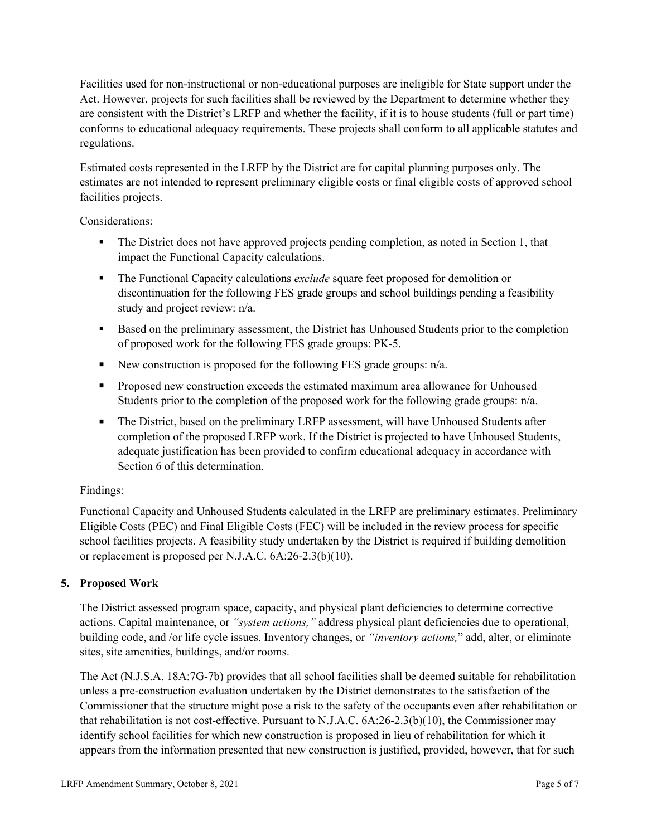Facilities used for non-instructional or non-educational purposes are ineligible for State support under the Act. However, projects for such facilities shall be reviewed by the Department to determine whether they are consistent with the District's LRFP and whether the facility, if it is to house students (full or part time) conforms to educational adequacy requirements. These projects shall conform to all applicable statutes and regulations.

Estimated costs represented in the LRFP by the District are for capital planning purposes only. The estimates are not intended to represent preliminary eligible costs or final eligible costs of approved school facilities projects.

Considerations:

- The District does not have approved projects pending completion, as noted in Section 1, that impact the Functional Capacity calculations.
- **The Functional Capacity calculations** *exclude* square feet proposed for demolition or discontinuation for the following FES grade groups and school buildings pending a feasibility study and project review: n/a.
- Based on the preliminary assessment, the District has Unhoused Students prior to the completion of proposed work for the following FES grade groups: PK-5.
- New construction is proposed for the following FES grade groups: n/a.
- Proposed new construction exceeds the estimated maximum area allowance for Unhoused Students prior to the completion of the proposed work for the following grade groups: n/a.
- The District, based on the preliminary LRFP assessment, will have Unhoused Students after completion of the proposed LRFP work. If the District is projected to have Unhoused Students, adequate justification has been provided to confirm educational adequacy in accordance with Section 6 of this determination.

## Findings:

Functional Capacity and Unhoused Students calculated in the LRFP are preliminary estimates. Preliminary Eligible Costs (PEC) and Final Eligible Costs (FEC) will be included in the review process for specific school facilities projects. A feasibility study undertaken by the District is required if building demolition or replacement is proposed per N.J.A.C. 6A:26-2.3(b)(10).

## **5. Proposed Work**

The District assessed program space, capacity, and physical plant deficiencies to determine corrective actions. Capital maintenance, or *"system actions,"* address physical plant deficiencies due to operational, building code, and /or life cycle issues. Inventory changes, or *"inventory actions,*" add, alter, or eliminate sites, site amenities, buildings, and/or rooms.

The Act (N.J.S.A. 18A:7G-7b) provides that all school facilities shall be deemed suitable for rehabilitation unless a pre-construction evaluation undertaken by the District demonstrates to the satisfaction of the Commissioner that the structure might pose a risk to the safety of the occupants even after rehabilitation or that rehabilitation is not cost-effective. Pursuant to N.J.A.C. 6A:26-2.3(b)(10), the Commissioner may identify school facilities for which new construction is proposed in lieu of rehabilitation for which it appears from the information presented that new construction is justified, provided, however, that for such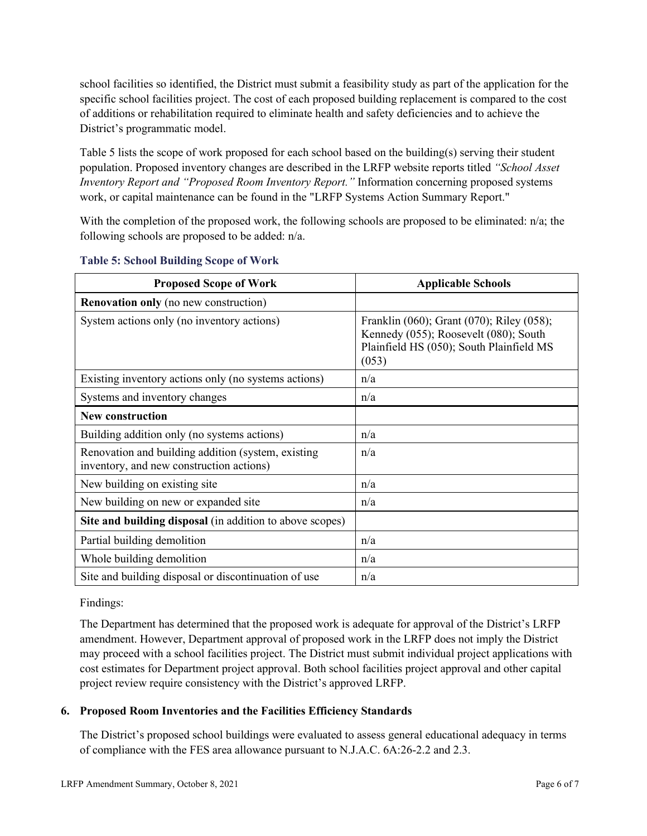school facilities so identified, the District must submit a feasibility study as part of the application for the specific school facilities project. The cost of each proposed building replacement is compared to the cost of additions or rehabilitation required to eliminate health and safety deficiencies and to achieve the District's programmatic model.

Table 5 lists the scope of work proposed for each school based on the building(s) serving their student population. Proposed inventory changes are described in the LRFP website reports titled *"School Asset Inventory Report and "Proposed Room Inventory Report."* Information concerning proposed systems work, or capital maintenance can be found in the "LRFP Systems Action Summary Report."

With the completion of the proposed work, the following schools are proposed to be eliminated: n/a; the following schools are proposed to be added: n/a.

| <b>Proposed Scope of Work</b>                                                                  | <b>Applicable Schools</b>                                                                                                               |
|------------------------------------------------------------------------------------------------|-----------------------------------------------------------------------------------------------------------------------------------------|
| <b>Renovation only</b> (no new construction)                                                   |                                                                                                                                         |
| System actions only (no inventory actions)                                                     | Franklin (060); Grant (070); Riley (058);<br>Kennedy (055); Roosevelt (080); South<br>Plainfield HS (050); South Plainfield MS<br>(053) |
| Existing inventory actions only (no systems actions)                                           | n/a                                                                                                                                     |
| Systems and inventory changes                                                                  | n/a                                                                                                                                     |
| <b>New construction</b>                                                                        |                                                                                                                                         |
| Building addition only (no systems actions)                                                    | n/a                                                                                                                                     |
| Renovation and building addition (system, existing<br>inventory, and new construction actions) | n/a                                                                                                                                     |
| New building on existing site                                                                  | n/a                                                                                                                                     |
| New building on new or expanded site                                                           | n/a                                                                                                                                     |
| Site and building disposal (in addition to above scopes)                                       |                                                                                                                                         |
| Partial building demolition                                                                    | n/a                                                                                                                                     |
| Whole building demolition                                                                      | n/a                                                                                                                                     |
| Site and building disposal or discontinuation of use                                           | n/a                                                                                                                                     |

#### **Table 5: School Building Scope of Work**

#### Findings:

The Department has determined that the proposed work is adequate for approval of the District's LRFP amendment. However, Department approval of proposed work in the LRFP does not imply the District may proceed with a school facilities project. The District must submit individual project applications with cost estimates for Department project approval. Both school facilities project approval and other capital project review require consistency with the District's approved LRFP.

## **6. Proposed Room Inventories and the Facilities Efficiency Standards**

The District's proposed school buildings were evaluated to assess general educational adequacy in terms of compliance with the FES area allowance pursuant to N.J.A.C. 6A:26-2.2 and 2.3.